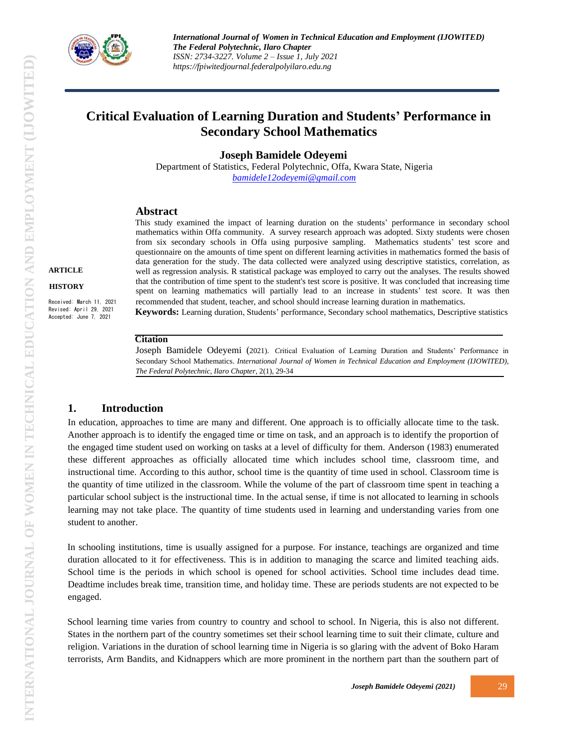

*International Journal of Women in Technical Education and Employment (IJOWITED) The Federal Polytechnic, Ilaro Chapter ISSN: 2734-3227. Volume 2 – Issue 1, July 2021 https://fpiwitedjournal.federalpolyilaro.edu.ng*

# **Critical Evaluation of Learning Duration and Students' Performance in Secondary School Mathematics**

**Joseph Bamidele Odeyemi**

Department of Statistics, Federal Polytechnic, Offa, Kwara State, Nigeria *[bamidele12odeyemi@gmail.com](mailto:bamidele12odeyemi@gmail.com)*

# **Abstract**

This study examined the impact of learning duration on the students' performance in secondary school mathematics within Offa community. A survey research approach was adopted. Sixty students were chosen from six secondary schools in Offa using purposive sampling. Mathematics students' test score and questionnaire on the amounts of time spent on different learning activities in mathematics formed the basis of data generation for the study. The data collected were analyzed using descriptive statistics, correlation, as well as regression analysis. R statistical package was employed to carry out the analyses. The results showed that the contribution of time spent to the student's test score is positive. It was concluded that increasing time spent on learning mathematics will partially lead to an increase in students' test score. It was then recommended that student, teacher, and school should increase learning duration in mathematics*.* **Keywords:** Learning duration, Students' performance, Secondary school mathematics, Descriptive statistics

**Citation**

Joseph Bamidele Odeyemi (2021). *C*ritical Evaluation of Learning Duration and Students' Performance in Secondary School Mathematics. *International Journal of Women in Technical Education and Employment (IJOWITED), The Federal Polytechnic, Ilaro Chapter*, 2(1), 29-34

# **1. Introduction**

In education, approaches to time are many and different. One approach is to officially allocate time to the task. Another approach is to identify the engaged time or time on task, and an approach is to identify the proportion of the engaged time student used on working on tasks at a level of difficulty for them. Anderson (1983) enumerated these different approaches as officially allocated time which includes school time, classroom time, and instructional time. According to this author, school time is the quantity of time used in school. Classroom time is the quantity of time utilized in the classroom. While the volume of the part of classroom time spent in teaching a particular school subject is the instructional time. In the actual sense, if time is not allocated to learning in schools learning may not take place. The quantity of time students used in learning and understanding varies from one student to another.

In schooling institutions, time is usually assigned for a purpose. For instance, teachings are organized and time duration allocated to it for effectiveness. This is in addition to managing the scarce and limited teaching aids. School time is the periods in which school is opened for school activities. School time includes dead time. Deadtime includes break time, transition time, and holiday time. These are periods students are not expected to be engaged.

School learning time varies from country to country and school to school. In Nigeria, this is also not different. States in the northern part of the country sometimes set their school learning time to suit their climate, culture and religion. Variations in the duration of school learning time in Nigeria is so glaring with the advent of Boko Haram terrorists, Arm Bandits, and Kidnappers which are more prominent in the northern part than the southern part of

**ARTICLE HISTORY**

Received: March 11, 2021 Revised: April 29, 2021 Accepted: June 7, 2021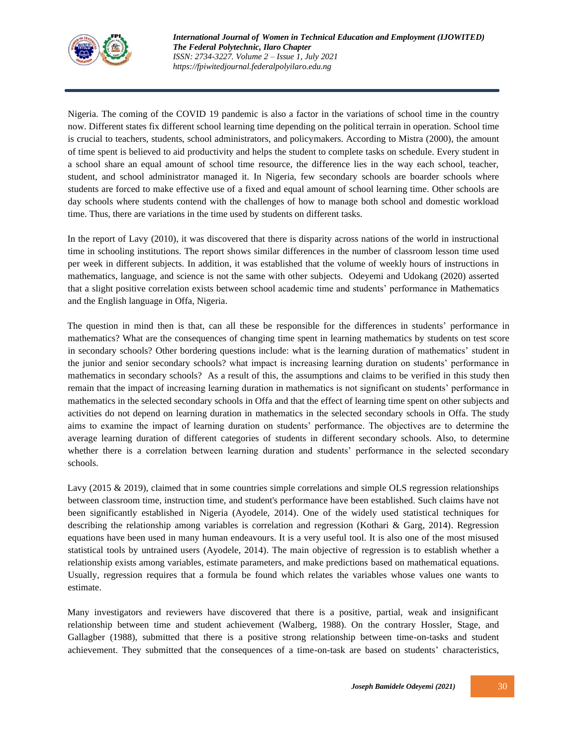

Nigeria. The coming of the COVID 19 pandemic is also a factor in the variations of school time in the country now. Different states fix different school learning time depending on the political terrain in operation. School time is crucial to teachers, students, school administrators, and policymakers. According to Mistra (2000), the amount of time spent is believed to aid productivity and helps the student to complete tasks on schedule. Every student in a school share an equal amount of school time resource, the difference lies in the way each school, teacher, student, and school administrator managed it. In Nigeria, few secondary schools are boarder schools where students are forced to make effective use of a fixed and equal amount of school learning time. Other schools are day schools where students contend with the challenges of how to manage both school and domestic workload time. Thus, there are variations in the time used by students on different tasks.

In the report of Lavy (2010), it was discovered that there is disparity across nations of the world in instructional time in schooling institutions. The report shows similar differences in the number of classroom lesson time used per week in different subjects. In addition, it was established that the volume of weekly hours of instructions in mathematics, language, and science is not the same with other subjects. Odeyemi and Udokang (2020) asserted that a slight positive correlation exists between school academic time and students' performance in Mathematics and the English language in Offa, Nigeria.

The question in mind then is that, can all these be responsible for the differences in students' performance in mathematics? What are the consequences of changing time spent in learning mathematics by students on test score in secondary schools? Other bordering questions include: what is the learning duration of mathematics' student in the junior and senior secondary schools? what impact is increasing learning duration on students' performance in mathematics in secondary schools? As a result of this, the assumptions and claims to be verified in this study then remain that the impact of increasing learning duration in mathematics is not significant on students' performance in mathematics in the selected secondary schools in Offa and that the effect of learning time spent on other subjects and activities do not depend on learning duration in mathematics in the selected secondary schools in Offa. The study aims to examine the impact of learning duration on students' performance. The objectives are to determine the average learning duration of different categories of students in different secondary schools. Also, to determine whether there is a correlation between learning duration and students' performance in the selected secondary schools.

Lavy (2015 & 2019), claimed that in some countries simple correlations and simple OLS regression relationships between classroom time, instruction time, and student's performance have been established. Such claims have not been significantly established in Nigeria (Ayodele, 2014). One of the widely used statistical techniques for describing the relationship among variables is correlation and regression (Kothari & Garg, 2014). Regression equations have been used in many human endeavours. It is a very useful tool. It is also one of the most misused statistical tools by untrained users (Ayodele, 2014). The main objective of regression is to establish whether a relationship exists among variables, estimate parameters, and make predictions based on mathematical equations. Usually, regression requires that a formula be found which relates the variables whose values one wants to estimate.

Many investigators and reviewers have discovered that there is a positive, partial, weak and insignificant relationship between time and student achievement (Walberg, 1988). On the contrary Hossler, Stage, and Gallagber (1988), submitted that there is a positive strong relationship between time-on-tasks and student achievement. They submitted that the consequences of a time-on-task are based on students' characteristics,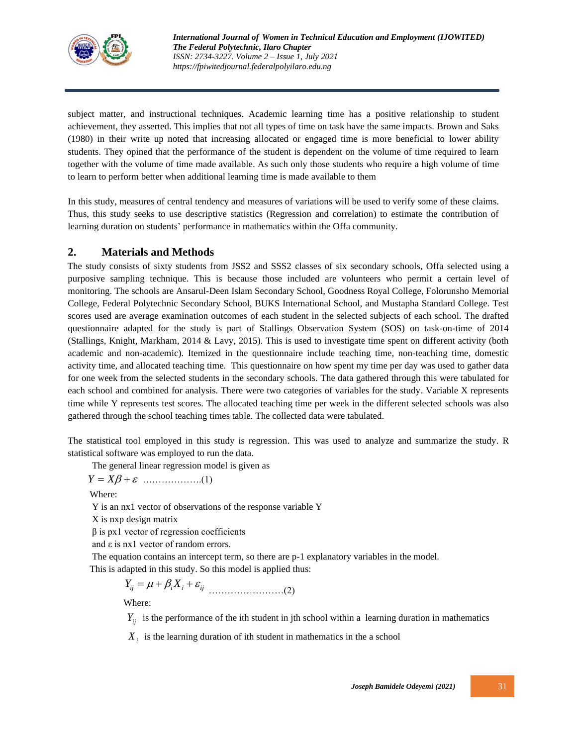

subject matter, and instructional techniques. Academic learning time has a positive relationship to student achievement, they asserted. This implies that not all types of time on task have the same impacts. Brown and Saks (1980) in their write up noted that increasing allocated or engaged time is more beneficial to lower ability students. They opined that the performance of the student is dependent on the volume of time required to learn together with the volume of time made available. As such only those students who require a high volume of time to learn to perform better when additional learning time is made available to them

In this study, measures of central tendency and measures of variations will be used to verify some of these claims. Thus, this study seeks to use descriptive statistics (Regression and correlation) to estimate the contribution of learning duration on students' performance in mathematics within the Offa community.

# **2. Materials and Methods**

The study consists of sixty students from JSS2 and SSS2 classes of six secondary schools, Offa selected using a purposive sampling technique. This is because those included are volunteers who permit a certain level of monitoring. The schools are Ansarul-Deen Islam Secondary School, Goodness Royal College, Folorunsho Memorial College, Federal Polytechnic Secondary School, BUKS International School, and Mustapha Standard College. Test scores used are average examination outcomes of each student in the selected subjects of each school. The drafted questionnaire adapted for the study is part of Stallings Observation System (SOS) on task-on-time of 2014 (Stallings, Knight, Markham, 2014 & Lavy, 2015). This is used to investigate time spent on different activity (both academic and non-academic). Itemized in the questionnaire include teaching time, non-teaching time, domestic activity time, and allocated teaching time. This questionnaire on how spent my time per day was used to gather data for one week from the selected students in the secondary schools. The data gathered through this were tabulated for each school and combined for analysis. There were two categories of variables for the study. Variable X represents time while Y represents test scores. The allocated teaching time per week in the different selected schools was also gathered through the school teaching times table. The collected data were tabulated.

The statistical tool employed in this study is regression. This was used to analyze and summarize the study. R statistical software was employed to run the data.

The general linear regression model is given as

$$
Y = X\beta + \varepsilon \quad \dots \quad \dots \quad (1)
$$

Where:

Y is an nx1 vector of observations of the response variable Y

X is nxp design matrix

 $β$  is px1 vector of regression coefficients

and ε is nx1 vector of random errors.

The equation contains an intercept term, so there are p-1 explanatory variables in the model.

This is adapted in this study. So this model is applied thus:

$$
Y_{ij} = \mu + \beta_i X_i + \varepsilon_{ij}
$$
 (2)

Where:

 $Y_{ij}$  is the performance of the ith student in jth school within a learning duration in mathematics

 $X_i$  is the learning duration of ith student in mathematics in the a school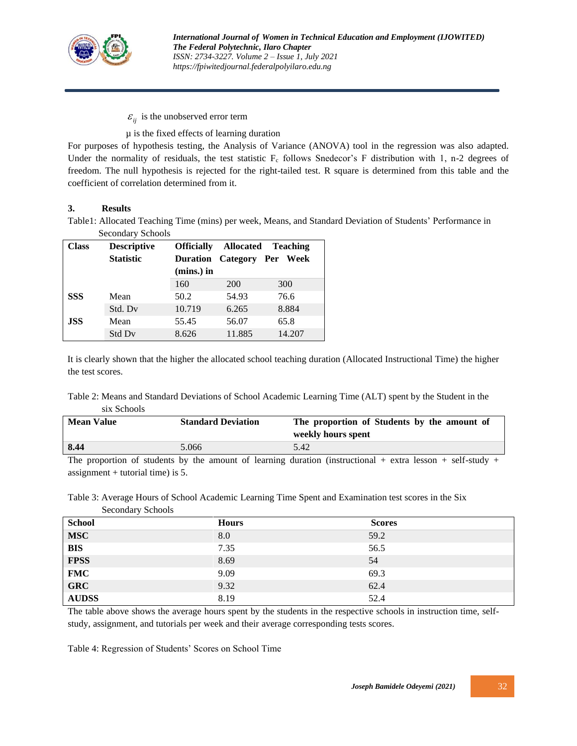

 $\varepsilon_{ij}$  is the unobserved error term

µ is the fixed effects of learning duration

For purposes of hypothesis testing, the Analysis of Variance (ANOVA) tool in the regression was also adapted. Under the normality of residuals, the test statistic  $F_c$  follows Snedecor's F distribution with 1, n-2 degrees of freedom. The null hypothesis is rejected for the right-tailed test. R square is determined from this table and the coefficient of correlation determined from it.

#### **3. Results**

Table1: Allocated Teaching Time (mins) per week, Means, and Standard Deviation of Students' Performance in Secondary Schools

| Class      | <b>Descriptive</b> | <b>Officially</b> | <b>Allocated</b><br><b>Teaching</b> |                   |  |
|------------|--------------------|-------------------|-------------------------------------|-------------------|--|
|            | <b>Statistic</b>   | Duration          |                                     | Category Per Week |  |
|            |                    | $(mins.)$ in      |                                     |                   |  |
|            |                    | 160               | <b>200</b>                          | 300               |  |
| <b>SSS</b> | Mean               | 50.2              | 54.93                               | 76.6              |  |
|            | Std. Dv            | 10.719            | 6.265                               | 8.884             |  |
| <b>JSS</b> | Mean               | 55.45             | 56.07                               | 65.8              |  |
|            | Std Dv             | 8.626             | 11.885                              | 14.207            |  |

It is clearly shown that the higher the allocated school teaching duration (Allocated Instructional Time) the higher the test scores.

#### Table 2: Means and Standard Deviations of School Academic Learning Time (ALT) spent by the Student in the six Schools

| <b>Mean Value</b><br><b>Standard Deviation</b> |       | The proportion of Students by the amount of<br>weekly hours spent                                                   |
|------------------------------------------------|-------|---------------------------------------------------------------------------------------------------------------------|
| 8.44                                           | 5.066 | 5.42                                                                                                                |
|                                                |       | The correction of students by the correction of legacing direction (instancelously) contact legacing well studies a |

The proportion of students by the amount of learning duration (instructional + extra lesson + self-study + assignment  $+$  tutorial time) is 5.

Table 3: Average Hours of School Academic Learning Time Spent and Examination test scores in the Six Secondary Schools

| <b>School</b> | <b>Hours</b> | <b>Scores</b> |
|---------------|--------------|---------------|
| <b>MSC</b>    | 8.0          | 59.2          |
| <b>BIS</b>    | 7.35         | 56.5          |
| <b>FPSS</b>   | 8.69         | 54            |
| <b>FMC</b>    | 9.09         | 69.3          |
| <b>GRC</b>    | 9.32         | 62.4          |
| <b>AUDSS</b>  | 8.19         | 52.4          |

The table above shows the average hours spent by the students in the respective schools in instruction time, selfstudy, assignment, and tutorials per week and their average corresponding tests scores.

Table 4: Regression of Students' Scores on School Time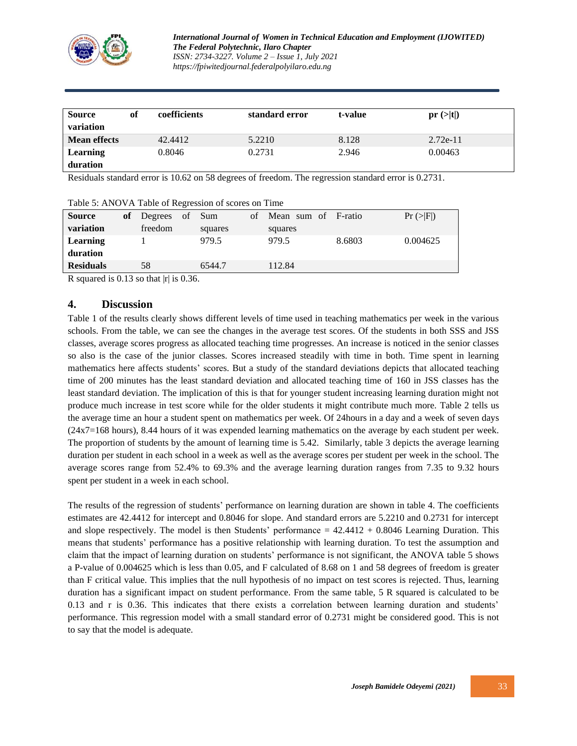

| Source<br>variation | of | coefficients | standard error | t-value | pr(z t )   |
|---------------------|----|--------------|----------------|---------|------------|
| <b>Mean effects</b> |    | 42.4412      | 5.2210         | 8.128   | $2.72e-11$ |
| <b>Learning</b>     |    | 0.8046       | 0.2731         | 2.946   | 0.00463    |
| duration            |    |              |                |         |            |

Residuals standard error is 10.62 on 58 degrees of freedom. The regression standard error is 0.2731.

| Table 5: ANOVA Table of Regression of scores on Time |    |                |  |         |    |                     |        |             |
|------------------------------------------------------|----|----------------|--|---------|----|---------------------|--------|-------------|
| <b>Source</b>                                        | оf | Degrees of Sum |  |         | of | Mean sum of F-ratio |        | Pr ( >  F ) |
| variation                                            |    | freedom        |  | squares |    | squares             |        |             |
| Learning                                             |    |                |  | 979.5   |    | 979.5               | 8.6803 | 0.004625    |
| duration                                             |    |                |  |         |    |                     |        |             |
| <b>Residuals</b>                                     |    | 58             |  | 6544.7  |    | 112.84              |        |             |

### R squared is 0.13 so that  $|r|$  is 0.36.

#### **4. Discussion**

Table 1 of the results clearly shows different levels of time used in teaching mathematics per week in the various schools. From the table, we can see the changes in the average test scores. Of the students in both SSS and JSS classes, average scores progress as allocated teaching time progresses. An increase is noticed in the senior classes so also is the case of the junior classes. Scores increased steadily with time in both. Time spent in learning mathematics here affects students' scores. But a study of the standard deviations depicts that allocated teaching time of 200 minutes has the least standard deviation and allocated teaching time of 160 in JSS classes has the least standard deviation. The implication of this is that for younger student increasing learning duration might not produce much increase in test score while for the older students it might contribute much more. Table 2 tells us the average time an hour a student spent on mathematics per week. Of 24hours in a day and a week of seven days (24x7=168 hours), 8.44 hours of it was expended learning mathematics on the average by each student per week. The proportion of students by the amount of learning time is 5.42. Similarly, table 3 depicts the average learning duration per student in each school in a week as well as the average scores per student per week in the school. The average scores range from 52.4% to 69.3% and the average learning duration ranges from 7.35 to 9.32 hours spent per student in a week in each school.

The results of the regression of students' performance on learning duration are shown in table 4. The coefficients estimates are 42.4412 for intercept and 0.8046 for slope. And standard errors are 5.2210 and 0.2731 for intercept and slope respectively. The model is then Students' performance  $= 42.4412 + 0.8046$  Learning Duration. This means that students' performance has a positive relationship with learning duration. To test the assumption and claim that the impact of learning duration on students' performance is not significant, the ANOVA table 5 shows a P-value of 0.004625 which is less than 0.05, and F calculated of 8.68 on 1 and 58 degrees of freedom is greater than F critical value. This implies that the null hypothesis of no impact on test scores is rejected. Thus, learning duration has a significant impact on student performance. From the same table, 5 R squared is calculated to be 0.13 and r is 0.36. This indicates that there exists a correlation between learning duration and students' performance. This regression model with a small standard error of 0.2731 might be considered good. This is not to say that the model is adequate.